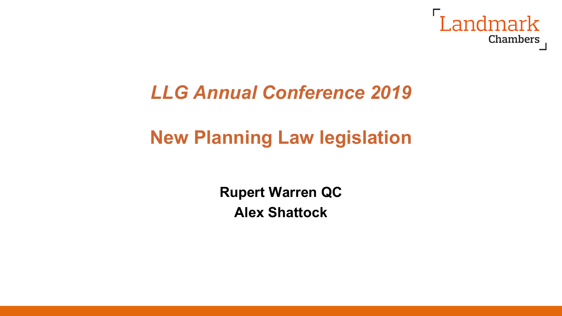

## *LLG Annual Conference 2019*

# **New Planning Law legislation**

**Rupert Warren QC Alex Shattock**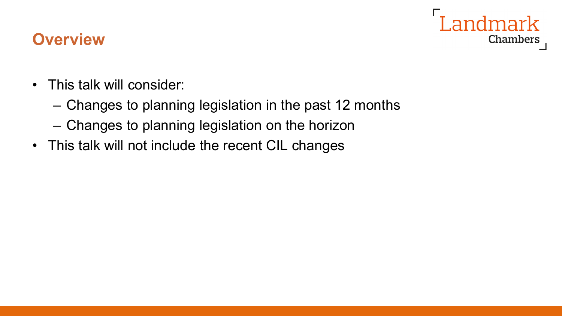

#### **Overview**

- This talk will consider:
	- Changes to planning legislation in the past 12 months
	- Changes to planning legislation on the horizon
- This talk will not include the recent CIL changes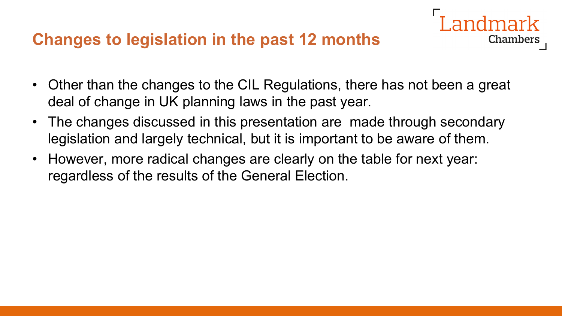#### **Changes to legislation in the past 12 months**

• Other than the changes to the CIL Regulations, there has not been a great deal of change in UK planning laws in the past year.

- The changes discussed in this presentation are made through secondary legislation and largely technical, but it is important to be aware of them.
- However, more radical changes are clearly on the table for next year: regardless of the results of the General Election.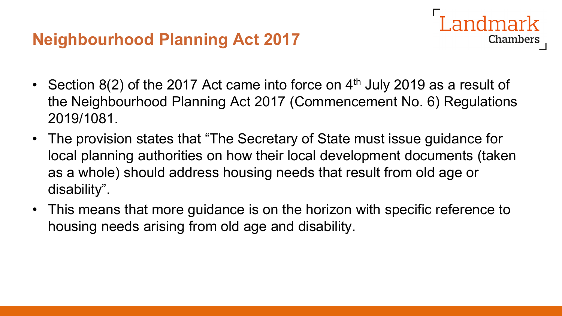

- Section 8(2) of the 2017 Act came into force on  $4<sup>th</sup>$  July 2019 as a result of the Neighbourhood Planning Act 2017 (Commencement No. 6) Regulations 2019/1081.
- The provision states that "The Secretary of State must issue guidance for local planning authorities on how their local development documents (taken as a whole) should address housing needs that result from old age or disability".
- This means that more guidance is on the horizon with specific reference to housing needs arising from old age and disability.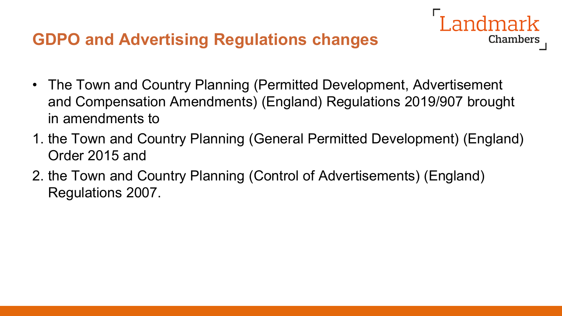### **GDPO and Advertising Regulations changes**

• The Town and Country Planning (Permitted Development, Advertisement and Compensation Amendments) (England) Regulations 2019/907 brought in amendments to

- 1. the Town and Country Planning (General Permitted Development) (England) Order 2015 and
- 2. the Town and Country Planning (Control of Advertisements) (England) Regulations 2007.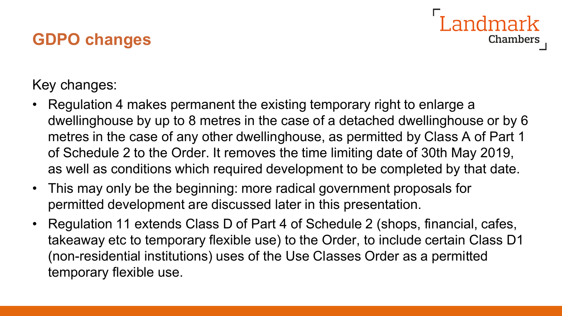## **GDPO changes**

I andmark Chambers

Key changes:

- Regulation 4 makes permanent the existing temporary right to enlarge a dwellinghouse by up to 8 metres in the case of a detached dwellinghouse or by 6 metres in the case of any other dwellinghouse, as permitted by Class A of Part 1 of Schedule 2 to the Order. It removes the time limiting date of 30th May 2019, as well as conditions which required development to be completed by that date.
- This may only be the beginning: more radical government proposals for permitted development are discussed later in this presentation.
- Regulation 11 extends Class D of Part 4 of Schedule 2 (shops, financial, cafes, takeaway etc to temporary flexible use) to the Order, to include certain Class D1 (non-residential institutions) uses of the Use Classes Order as a permitted temporary flexible use.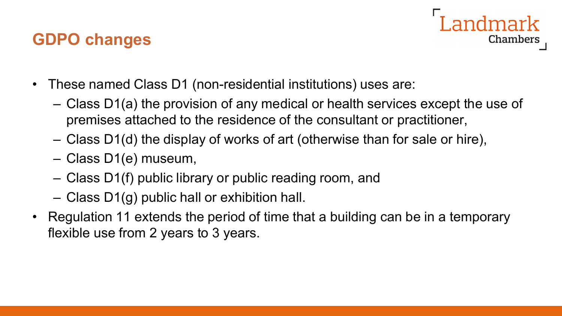#### **GDPO changes**



- These named Class D1 (non-residential institutions) uses are:
	- Class D1(a) the provision of any medical or health services except the use of premises attached to the residence of the consultant or practitioner,
	- Class D1(d) the display of works of art (otherwise than for sale or hire),
	- Class D1(e) museum,
	- Class D1(f) public library or public reading room, and
	- Class D1(g) public hall or exhibition hall.
- Regulation 11 extends the period of time that a building can be in a temporary flexible use from 2 years to 3 years.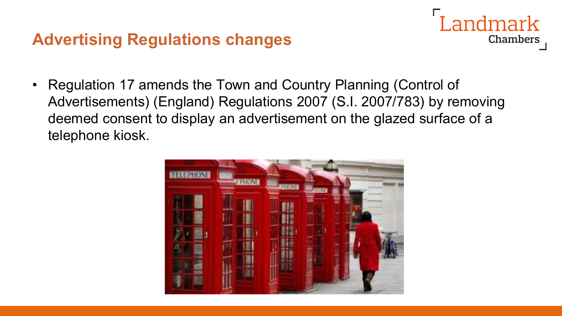#### **Advertising Regulations changes**

- Landmark Chambers
- Regulation 17 amends the Town and Country Planning (Control of Advertisements) (England) Regulations 2007 (S.I. 2007/783) by removing deemed consent to display an advertisement on the glazed surface of a telephone kiosk.

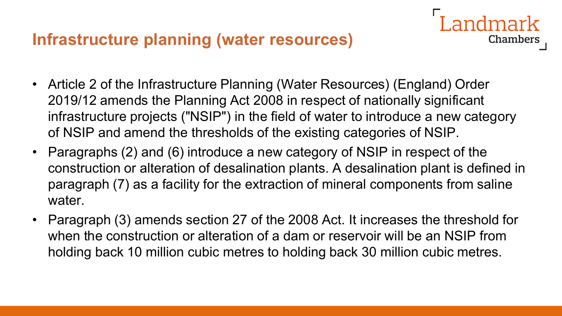#### **Infrastructure planning (water resources)**

• Article 2 of the Infrastructure Planning (Water Resources) (England) Order 2019/12 amends the Planning Act 2008 in respect of nationally significant infrastructure projects ("NSIP") in the field of water to introduce a new category of NSIP and amend the thresholds of the existing categories of NSIP.

- Paragraphs (2) and (6) introduce a new category of NSIP in respect of the construction or alteration of desalination plants. A desalination plant is defined in paragraph (7) as a facility for the extraction of mineral components from saline water.
- Paragraph (3) amends section 27 of the 2008 Act. It increases the threshold for when the construction or alteration of a dam or reservoir will be an NSIP from holding back 10 million cubic metres to holding back 30 million cubic metres.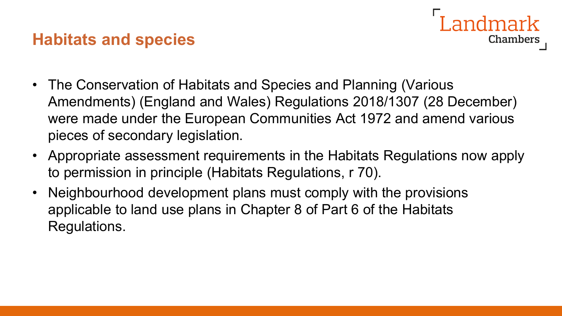#### **Habitats and species**

- andmark Chambers
- The Conservation of Habitats and Species and Planning (Various Amendments) (England and Wales) Regulations 2018/1307 (28 December) were made under the European Communities Act 1972 and amend various pieces of secondary legislation.
- Appropriate assessment requirements in the Habitats Regulations now apply to permission in principle (Habitats Regulations, r 70).
- Neighbourhood development plans must comply with the provisions applicable to land use plans in Chapter 8 of Part 6 of the Habitats Regulations.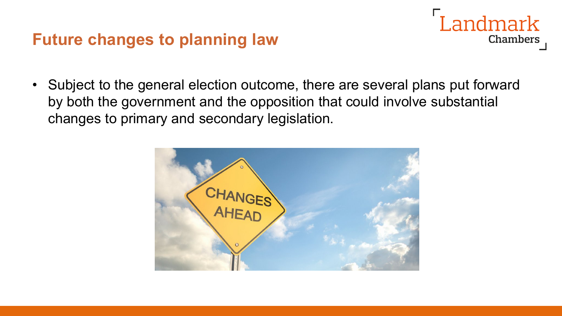#### **Future changes to planning law**

• Subject to the general election outcome, there are several plans put forward by both the government and the opposition that could involve substantial changes to primary and secondary legislation.

Landmark

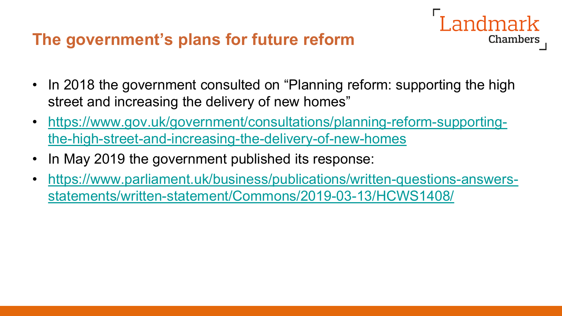#### **The government's plans for future reform**

• In 2018 the government consulted on "Planning reform: supporting the high street and increasing the delivery of new homes"

andmark

- [https://www.gov.uk/government/consultations/planning-reform-supporting](https://www.gov.uk/government/consultations/planning-reform-supporting-the-high-street-and-increasing-the-delivery-of-new-homes)the-high-street-and-increasing-the-delivery-of-new-homes
- In May 2019 the government published its response:
- [https://www.parliament.uk/business/publications/written-questions-answers](https://www.parliament.uk/business/publications/written-questions-answers-statements/written-statement/Commons/2019-03-13/HCWS1408/)statements/written-statement/Commons/2019-03-13/HCWS1408/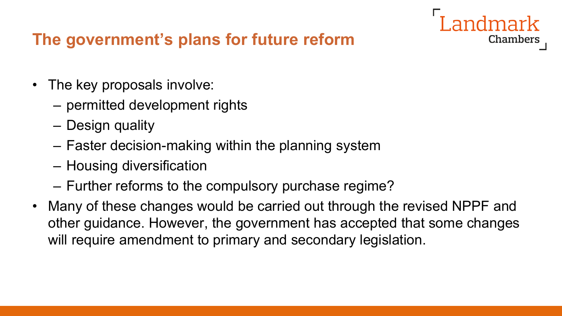### **The government's plans for future reform**

- The key proposals involve:
	- permitted development rights
	- Design quality
	- Faster decision-making within the planning system
	- Housing diversification
	- Further reforms to the compulsory purchase regime?
- Many of these changes would be carried out through the revised NPPF and other guidance. However, the government has accepted that some changes will require amendment to primary and secondary legislation.

**Landmark**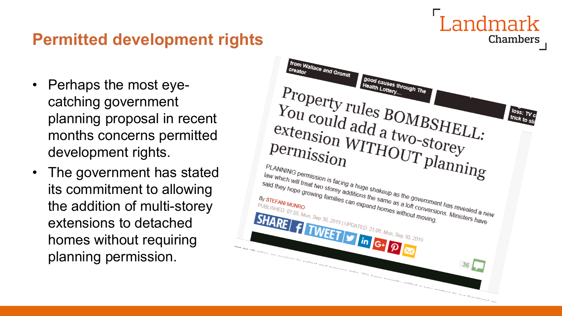## Landmark **Chambers**

### **Permitted development rights**

- Perhaps the most eyecatching government planning proposal in recent months concerns permitted development rights.
- The government has stated its commitment to allowing the addition of multi-storey extensions to detached homes without requiring planning permission.

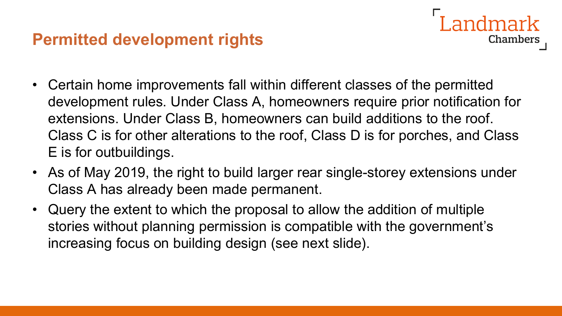#### **Permitted development rights**

• Certain home improvements fall within different classes of the permitted development rules. Under Class A, homeowners require prior notification for extensions. Under Class B, homeowners can build additions to the roof. Class C is for other alterations to the roof, Class D is for porches, and Class E is for outbuildings.

ndmark

- As of May 2019, the right to build larger rear single-storey extensions under Class A has already been made permanent.
- Query the extent to which the proposal to allow the addition of multiple stories without planning permission is compatible with the government's increasing focus on building design (see next slide).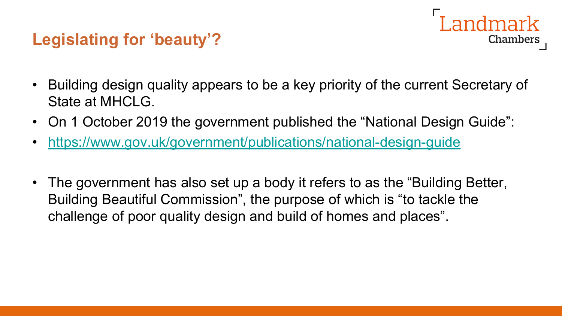### **Legislating for 'beauty'?**



- Building design quality appears to be a key priority of the current Secretary of State at MHCLG.
- On 1 October 2019 the government published the "National Design Guide":
- <https://www.gov.uk/government/publications/national-design-guide>
- The government has also set up a body it refers to as the "Building Better, Building Beautiful Commission", the purpose of which is "to tackle the challenge of poor quality design and build of homes and places".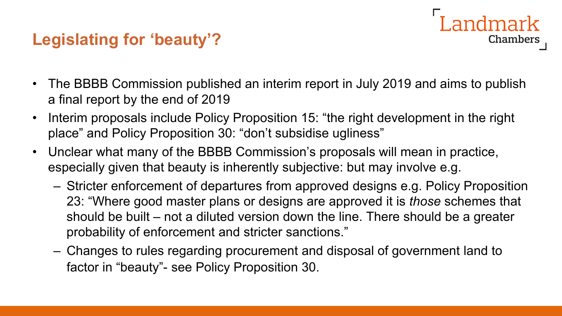## **Legislating for 'beauty'?**

• The BBBB Commission published an interim report in July 2019 and aims to publish a final report by the end of 2019

**Landmark** 

- Interim proposals include Policy Proposition 15: "the right development in the right place" and Policy Proposition 30: "don't subsidise ugliness"
- Unclear what many of the BBBB Commission's proposals will mean in practice, especially given that beauty is inherently subjective: but may involve e.g.
	- Stricter enforcement of departures from approved designs e.g. Policy Proposition 23: "Where good master plans or designs are approved it is *those* schemes that should be built – not a diluted version down the line. There should be a greater probability of enforcement and stricter sanctions."
	- Changes to rules regarding procurement and disposal of government land to factor in "beauty"- see Policy Proposition 30.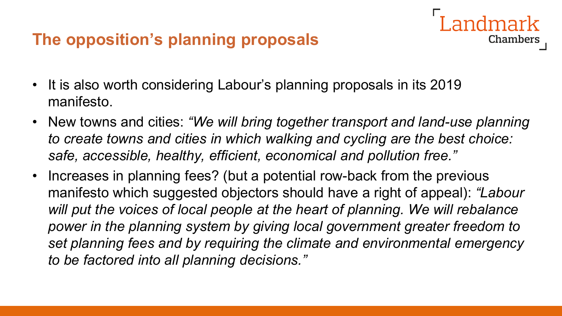### **The opposition's planning proposals**

- It is also worth considering Labour's planning proposals in its 2019 manifesto.
- New towns and cities: *"We will bring together transport and land-use planning to create towns and cities in which walking and cycling are the best choice: safe, accessible, healthy, efficient, economical and pollution free."*

Chambers

• Increases in planning fees? (but a potential row-back from the previous manifesto which suggested objectors should have a right of appeal): *"Labour*  will put the voices of local people at the heart of planning. We will rebalance power in the planning system by giving local government greater freedom to *set planning fees and by requiring the climate and environmental emergency to be factored into all planning decisions."*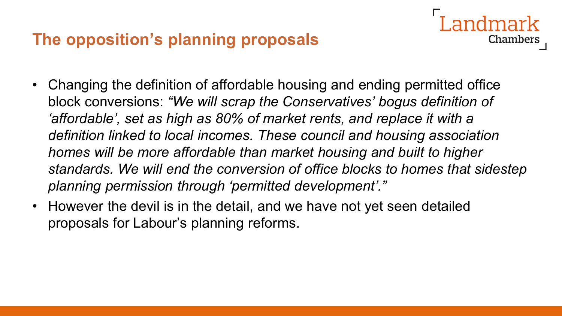#### **The opposition's planning proposals**

• Changing the definition of affordable housing and ending permitted office block conversions: *"We will scrap the Conservatives' bogus definition of 'affordable', set as high as 80% of market rents, and replace it with a definition linked to local incomes. These council and housing association homes will be more affordable than market housing and built to higher standards. We will end the conversion of office blocks to homes that sidestep planning permission through 'permitted development'."*

**Chambers** 

• However the devil is in the detail, and we have not yet seen detailed proposals for Labour's planning reforms.